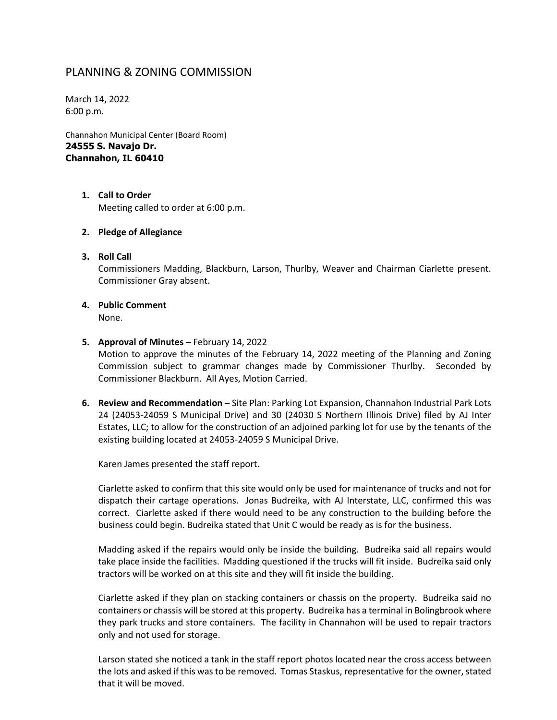# PLANNING & ZONING COMMISSION

March 14, 2022 6:00 p.m.

Channahon Municipal Center (Board Room) **24555 S. Navajo Dr. Channahon, IL 60410**

> **1. Call to Order** Meeting called to order at 6:00 p.m.

### **2. Pledge of Allegiance**

- **3. Roll Call** Commissioners Madding, Blackburn, Larson, Thurlby, Weaver and Chairman Ciarlette present. Commissioner Gray absent.
- **4. Public Comment** None.

#### **5. Approval of Minutes –** February 14, 2022

Motion to approve the minutes of the February 14, 2022 meeting of the Planning and Zoning Commission subject to grammar changes made by Commissioner Thurlby. Seconded by Commissioner Blackburn. All Ayes, Motion Carried.

**6. Review and Recommendation –** Site Plan: Parking Lot Expansion, Channahon Industrial Park Lots 24 (24053-24059 S Municipal Drive) and 30 (24030 S Northern Illinois Drive) filed by AJ Inter Estates, LLC; to allow for the construction of an adjoined parking lot for use by the tenants of the existing building located at 24053-24059 S Municipal Drive.

Karen James presented the staff report.

Ciarlette asked to confirm that this site would only be used for maintenance of trucks and not for dispatch their cartage operations. Jonas Budreika, with AJ Interstate, LLC, confirmed this was correct. Ciarlette asked if there would need to be any construction to the building before the business could begin. Budreika stated that Unit C would be ready as is for the business.

Madding asked if the repairs would only be inside the building. Budreika said all repairs would take place inside the facilities. Madding questioned if the trucks will fit inside. Budreika said only tractors will be worked on at this site and they will fit inside the building.

Ciarlette asked if they plan on stacking containers or chassis on the property. Budreika said no containers or chassis will be stored at this property. Budreika has a terminal in Bolingbrook where they park trucks and store containers. The facility in Channahon will be used to repair tractors only and not used for storage.

Larson stated she noticed a tank in the staff report photos located near the cross access between the lots and asked if this was to be removed. Tomas Staskus, representative for the owner, stated that it will be moved.